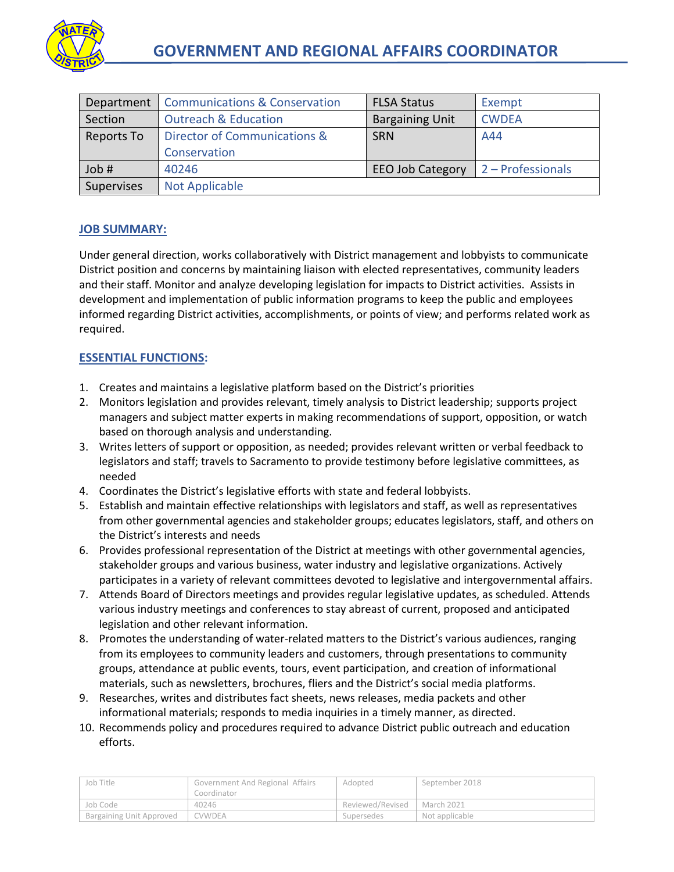

| Department | <b>Communications &amp; Conservation</b> | <b>FLSA Status</b>      | Exempt            |
|------------|------------------------------------------|-------------------------|-------------------|
| Section    | <b>Outreach &amp; Education</b>          | <b>Bargaining Unit</b>  | <b>CWDEA</b>      |
| Reports To | Director of Communications &             | <b>SRN</b>              | A44               |
|            | Conservation                             |                         |                   |
| Job #      | 40246                                    | <b>EEO Job Category</b> | 2 - Professionals |
| Supervises | <b>Not Applicable</b>                    |                         |                   |

## **JOB SUMMARY:**

Under general direction, works collaboratively with District management and lobbyists to communicate District position and concerns by maintaining liaison with elected representatives, community leaders and their staff. Monitor and analyze developing legislation for impacts to District activities. Assists in development and implementation of public information programs to keep the public and employees informed regarding District activities, accomplishments, or points of view; and performs related work as required.

# **ESSENTIAL FUNCTIONS:**

- 1. Creates and maintains a legislative platform based on the District's priorities
- 2. Monitors legislation and provides relevant, timely analysis to District leadership; supports project managers and subject matter experts in making recommendations of support, opposition, or watch based on thorough analysis and understanding.
- 3. Writes letters of support or opposition, as needed; provides relevant written or verbal feedback to legislators and staff; travels to Sacramento to provide testimony before legislative committees, as needed
- 4. Coordinates the District's legislative efforts with state and federal lobbyists.
- 5. Establish and maintain effective relationships with legislators and staff, as well as representatives from other governmental agencies and stakeholder groups; educates legislators, staff, and others on the District's interests and needs
- 6. Provides professional representation of the District at meetings with other governmental agencies, stakeholder groups and various business, water industry and legislative organizations. Actively participates in a variety of relevant committees devoted to legislative and intergovernmental affairs.
- 7. Attends Board of Directors meetings and provides regular legislative updates, as scheduled. Attends various industry meetings and conferences to stay abreast of current, proposed and anticipated legislation and other relevant information.
- 8. Promotes the understanding of water-related matters to the District's various audiences, ranging from its employees to community leaders and customers, through presentations to community groups, attendance at public events, tours, event participation, and creation of informational materials, such as newsletters, brochures, fliers and the District's social media platforms.
- 9. Researches, writes and distributes fact sheets, news releases, media packets and other informational materials; responds to media inquiries in a timely manner, as directed.
- 10. Recommends policy and procedures required to advance District public outreach and education efforts.

| Job Title                | Government And Regional Affairs | Adopted                       | September 2018 |
|--------------------------|---------------------------------|-------------------------------|----------------|
|                          | Coordinator                     |                               |                |
| Job Code                 | 40246                           | Reviewed/Revised   March 2021 |                |
| Bargaining Unit Approved | CVWDEA                          | Supersedes                    | Not applicable |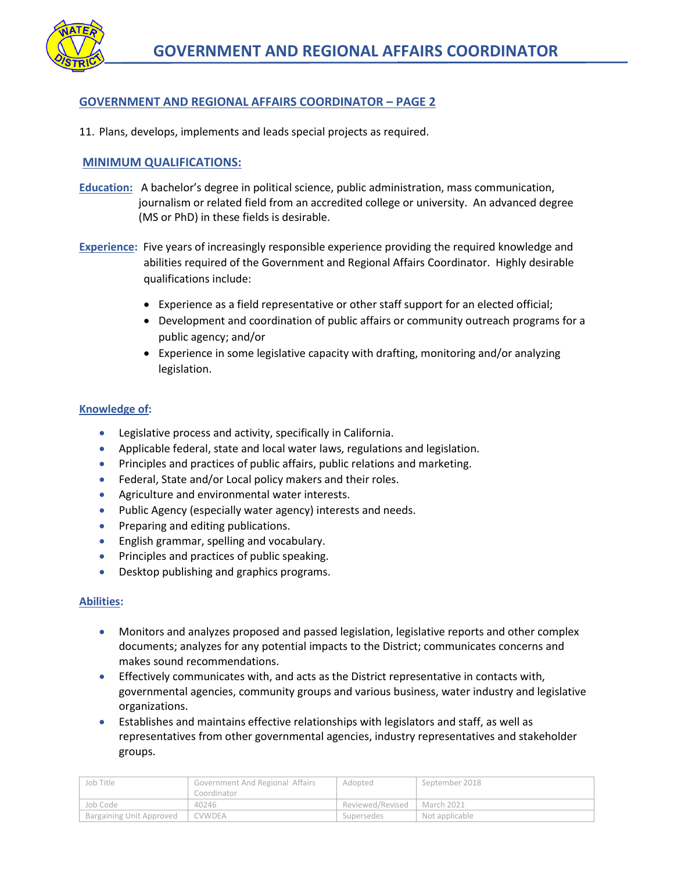## **GOVERNMENT AND REGIONAL AFFAIRS COORDINATOR – PAGE 2**

11. Plans, develops, implements and leads special projects as required.

## **MINIMUM QUALIFICATIONS:**

- **Education:** A bachelor's degree in political science, public administration, mass communication, journalism or related field from an accredited college or university. An advanced degree (MS or PhD) in these fields is desirable.
- **Experience:** Five years of increasingly responsible experience providing the required knowledge and abilities required of the Government and Regional Affairs Coordinator. Highly desirable qualifications include:
	- Experience as a field representative or other staff support for an elected official;
	- Development and coordination of public affairs or community outreach programs for a public agency; and/or
	- Experience in some legislative capacity with drafting, monitoring and/or analyzing legislation.

#### **Knowledge of:**

- Legislative process and activity, specifically in California.
- Applicable federal, state and local water laws, regulations and legislation.
- Principles and practices of public affairs, public relations and marketing.
- **•** Federal, State and/or Local policy makers and their roles.
- **•** Agriculture and environmental water interests.
- Public Agency (especially water agency) interests and needs.
- Preparing and editing publications.
- **•** English grammar, spelling and vocabulary.
- **•** Principles and practices of public speaking.
- Desktop publishing and graphics programs.

#### **Abilities:**

- Monitors and analyzes proposed and passed legislation, legislative reports and other complex documents; analyzes for any potential impacts to the District; communicates concerns and makes sound recommendations.
- Effectively communicates with, and acts as the District representative in contacts with, governmental agencies, community groups and various business, water industry and legislative organizations.
- Establishes and maintains effective relationships with legislators and staff, as well as representatives from other governmental agencies, industry representatives and stakeholder groups.

| Job Title                       | Government And Regional Affairs | Adopted                       | September 2018 |
|---------------------------------|---------------------------------|-------------------------------|----------------|
|                                 | Coordinator                     |                               |                |
| Job Code                        | 40246                           | Reviewed/Revised   March 2021 |                |
| <b>Bargaining Unit Approved</b> | <b>CVWDEA</b>                   | Supersedes                    | Not applicable |